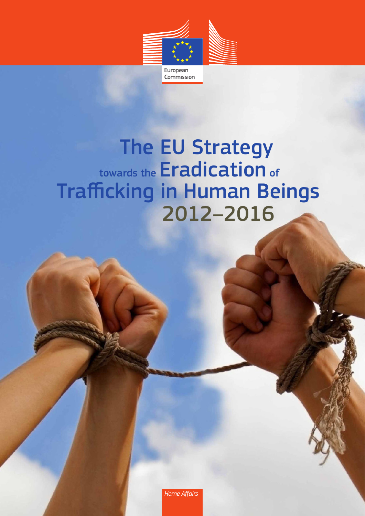

*Home Affairs*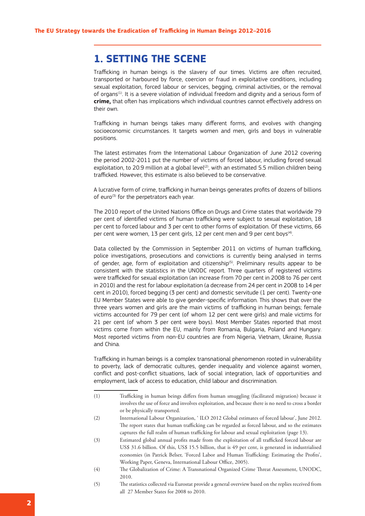# **1. SETTING THE SCENE**

Trafficking in human beings is the slavery of our times. Victims are often recruited, transported or harboured by force, coercion or fraud in exploitative conditions, including sexual exploitation, forced labour or services, begging, criminal activities, or the removal of organs<sup>(1)</sup>. It is a severe violation of individual freedom and dignity and a serious form of **crime,** that often has implications which individual countries cannot effectively address on their own.

Trafficking in human beings takes many different forms, and evolves with changing socioeconomic circumstances. It targets women and men, girls and boys in vulnerable positions.

The latest estimates from the International Labour Organization of June 2012 covering the period 2002-2011 put the number of victims of forced labour, including forced sexual exploitation, to 20.9 million at a global level<sup>(2)</sup>, with an estimated 5.5 million children being trafficked. However, this estimate is also believed to be conservative.

A lucrative form of crime, trafficking in human beings generates profits of dozens of billions of euro $(3)$  for the perpetrators each year.

The 2010 report of the United Nations Office on Drugs and Crime states that worldwide 79 per cent of identified victims of human trafficking were subject to sexual exploitation, 18 per cent to forced labour and 3 per cent to other forms of exploitation. Of these victims, 66 per cent were women. 13 per cent girls, 12 per cent men and 9 per cent boys<sup>(4)</sup>.

Data collected by the Commission in September 2011 on victims of human trafficking, police investigations, prosecutions and convictions is currently being analysed in terms of gender, age, form of exploitation and citizenship<sup>(5)</sup>. Preliminary results appear to be consistent with the statistics in the UNODC report. Three quarters of registered victims were trafficked for sexual exploitation (an increase from 70 per cent in 2008 to 76 per cent in 2010) and the rest for labour exploitation (a decrease from 24 per cent in 2008 to 14 per cent in 2010), forced begging (3 per cent) and domestic servitude (1 per cent). Twenty-one EU Member States were able to give gender-specific information. This shows that over the three years women and girls are the main victims of trafficking in human beings; female victims accounted for 79 per cent (of whom 12 per cent were girls) and male victims for 21 per cent (of whom 3 per cent were boys). Most Member States reported that most victims come from within the EU, mainly from Romania, Bulgaria, Poland and Hungary. Most reported victims from non-EU countries are from Nigeria, Vietnam, Ukraine, Russia and China.

Trafficking in human beings is a complex transnational phenomenon rooted in vulnerability to poverty, lack of democratic cultures, gender inequality and violence against women, conflict and post-conflict situations, lack of social integration, lack of opportunities and employment, lack of access to education, child labour and discrimination.

- (1) Trafficking in human beings differs from human smuggling (facilitated migration) because it involves the use of force and involves exploitation, and because there is no need to cross a border or be physically transported.
- (2) International Labour Organization, ' ILO 2012 Global estimates of forced labour', June 2012. The report states that human trafficking can be regarded as forced labour, and so the estimates captures the full realm of human trafficking for labour and sexual exploitation (page 13).
- (3) Estimated global annual profits made from the exploitation of all trafficked forced labour are US\$ 31.6 billion. Of this, US\$ 15.5 billion, that is 49 per cent, is generated in industrialised economies (in Patrick Belser, 'Forced Labor and Human Trafficking: Estimating the Profits', Working Paper, Geneva, International Labour Office, 2005).
- (4) The Globalization of Crime: A Transnational Organized Crime Threat Assessment, UNODC, 2010.
- (5) The statistics collected via Eurostat provide a general overview based on the replies received from all 27 Member States for 2008 to 2010.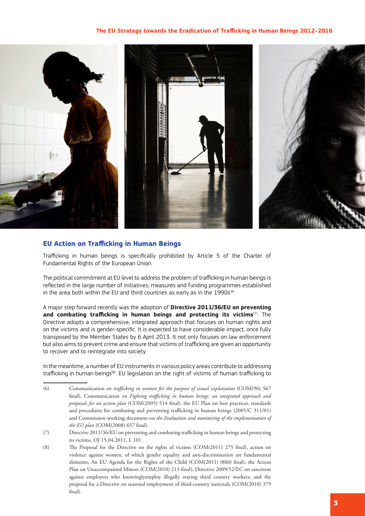

### **EU Action on Trafficking in Human Beings**

Trafficking in human beings is specifically prohibited by Article 5 of the Charter of Fundamental Rights of the European Union.

The political commitment at EU level to address the problem of trafficking in human beings is reflected in the large number of initiatives, measures and funding programmes established in the area both within the EU and third countries as early as in the  $1990s^{(6)}$ .

A major step forward recently was the adoption of **Directive 2011/36/EU on preventing and combating trafficking in human beings and protecting its victims**(7). The Directive adopts a comprehensive, integrated approach that focuses on human rights and on the victims and is gender-specific. It is expected to have considerable impact, once fully transposed by the Member States by 6 April 2013. It not only focuses on law enforcement but also aims to prevent crime and ensure that victims of trafficking are given an opportunity to recover and to reintegrate into society.

In the meantime, a number of EU instruments in various policy areas contribute to addressing trafficking in human beings<sup>(8)</sup>. EU legislation on the right of victims of human trafficking to

- (6) Communication *on trafficking in women for the purpose of sexual exploitation* (COM(96) 567 final), Communication *on Fighting trafficking in human beings: an integrated approach and proposals for an action plan* (COM(2005) 514 final), the EU Plan on best practices, standards and procedures for combating and preventing trafficking in human beings (2005/C 311/01) and Commission working document on *the Evaluation and monitoring of the implementation of the EU plan* (COM(2008) 657 final).
- (7) Directive 2011/36/EU on preventing and combating trafficking in human beings and protecting its victims, OJ 15.04.2011, L 101.
- (8) The Proposal for the Directive on the rights of victims (COM(2011) 275 final), action on violence against women, of which gender equality and anti-discrimination are fundamental elements; An EU Agenda for the Rights of the Child (COM(2011) 0060 final); the Action Plan on Unaccompanied Minors (COM(2010) 213 final); Directive 2009/52/EC on sanctions against employers who knowinglyemploy illegally staying third country workers; and the proposal for a Directive on seasonal employment of third-country nationals (COM(2010) 379 final).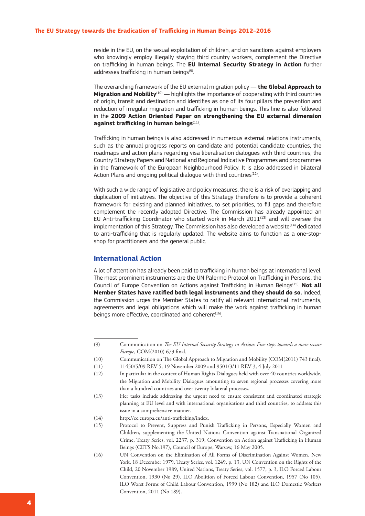reside in the EU, on the sexual exploitation of children, and on sanctions against employers who knowingly employ illegally staying third country workers, complement the Directive on trafficking in human beings. The **EU Internal Security Strategy in Action** further addresses trafficking in human beings<sup>(9)</sup>.

The overarching framework of the EU external migration policy — **the Global Approach to Migration and Mobility**<sup>(10)</sup> — highlights the importance of cooperating with third countries of origin, transit and destination and identifies as one of its four pillars the prevention and reduction of irregular migration and trafficking in human beings. This line is also followed in the **2009 Action Oriented Paper on strengthening the EU external dimension against trafficking in human beings**(11).

Trafficking in human beings is also addressed in numerous external relations instruments, such as the annual progress reports on candidate and potential candidate countries, the roadmaps and action plans regarding visa liberalisation dialogues with third countries, the Country Strategy Papers and National and Regional Indicative Programmes and programmes in the framework of the European Neighbourhood Policy. It is also addressed in bilateral Action Plans and ongoing political dialogue with third countries $(12)$ .

With such a wide range of legislative and policy measures, there is a risk of overlapping and duplication of initiatives. The objective of this Strategy therefore is to provide a coherent framework for existing and planned initiatives, to set priorities, to fill gaps and therefore complement the recently adopted Directive. The Commission has already appointed an EU Anti-trafficking Coordinator who started work in March 2011 $<sup>(13)</sup>$  and will oversee the</sup> implementation of this Strategy. The Commission has also developed a website $^{(14)}$  dedicated to anti-trafficking that is regularly updated. The website aims to function as a one-stopshop for practitioners and the general public.

#### **International Action**

A lot of attention has already been paid to trafficking in human beings at international level. The most prominent instruments are the UN Palermo Protocol on Trafficking in Persons, the Council of Europe Convention on Actions against Trafficking in Human Beings(15). **Not all Member States have ratified both legal instruments and they should do so.** Indeed, the Commission urges the Member States to ratify all relevant international instruments, agreements and legal obligations which will make the work against trafficking in human beings more effective, coordinated and coherent $(16)$ .

(10) Communication on The Global Approach to Migration and Mobility (COM(2011) 743 final).

- (12) In particular in the context of Human Rights Dialogues held with over 40 countries worldwide, the Migration and Mobility Dialogues amounting to seven regional processes covering more than a hundred countries and over twenty bilateral processes.
- (13) Her tasks include addressing the urgent need to ensure consistent and coordinated strategic planning at EU level and with international organisations and third countries, to address this issue in a comprehensive manner.
- (14) http://ec.europa.eu/anti-trafficking/index.
- (15) Protocol to Prevent, Suppress and Punish Trafficking in Persons, Especially Women and Children, supplementing the United Nations Convention against Transnational Organized Crime, Treaty Series, vol. 2237, p. 319; Convention on Action against Trafficking in Human Beings (CETS No.197), Council of Europe, Warsaw, 16 May 2005.
- (16) UN Convention on the Elimination of All Forms of Discrimination Against Women, New York, 18 December 1979, Treaty Series, vol. 1249, p. 13, UN Convention on the Rights of the Child, 20 November 1989, United Nations, Treaty Series, vol. 1577, p. 3, ILO Forced Labour Convention, 1930 (No 29), ILO Abolition of Forced Labour Convention, 1957 (No 105), ILO Worst Forms of Child Labour Convention, 1999 (No 182) and ILO Domestic Workers Convention, 2011 (No 189).

<sup>(9)</sup> Communication on *The EU Internal Security Strategy in Action: Five steps towards a more secure Europe*, COM(2010) 673 final.

<sup>(11)</sup> 11450/5/09 REV 5, 19 November 2009 and 9501/3/11 REV 3, 4 July 2011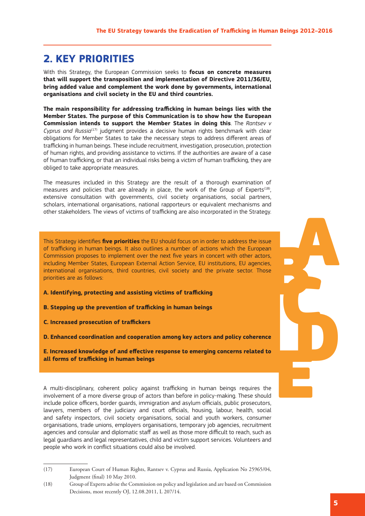# **2. KEY PRIORITIES**

With this Strategy, the European Commission seeks to **focus on concrete measures that will support the transposition and implementation of Directive 2011/36/EU, bring added value and complement the work done by governments, international organisations and civil society in the EU and third countries.**

**The main responsibility for addressing trafficking in human beings lies with the Member States. The purpose of this Communication is to show how the European Commission intends to support the Member States in doing this**. The *Rantsev v Cyprus and Russia<sup>(17)</sup>* judgment provides a decisive human rights benchmark with clear obligations for Member States to take the necessary steps to address different areas of trafficking in human beings. These include recruitment, investigation, prosecution, protection of human rights, and providing assistance to victims. If the authorities are aware of a case of human trafficking, or that an individual risks being a victim of human trafficking, they are obliged to take appropriate measures.

The measures included in this Strategy are the result of a thorough examination of measures and policies that are already in place, the work of the Group of Experts<sup>(18)</sup>, extensive consultation with governments, civil society organisations, social partners, scholars, international organisations, national rapporteurs or equivalent mechanisms and other stakeholders. The views of victims of trafficking are also incorporated in the Strategy.

an<br>Prs, se<br>**Ce**<br>Ce This Strategy identifies **five priorities** the EU should focus on in order to address the issue of trafficking in human beings. It also outlines a number of actions which the European Commission proposes to implement over the next five years in concert with other actors, including Member States, European External Action Service, EU institutions, EU agencies, international organisations, third countries, civil society and the private sector. Those priorities are as follows:

- **A. Identifying, protecting and assisting victims of trafficking**
- **B. Stepping up the prevention of trafficking in human beings**
- **C. Increased prosecution of traffickers**

**D. Enhanced coordination and cooperation among key actors and policy coherence**

**E. Increased knowledge of and effective response to emerging concerns related to all forms of trafficking in human beings**

A multi-disciplinary, coherent policy against trafficking in human beings requires the involvement of a more diverse group of actors than before in policy-making. These should include police officers, border guards, immigration and asylum officials, public prosecutors, lawyers, members of the judiciary and court officials, housing, labour, health, social and safety inspectors, civil society organisations, social and youth workers, consumer organisations, trade unions, employers organisations, temporary job agencies, recruitment agencies and consular and diplomatic staff as well as those more difficult to reach, such as legal guardians and legal representatives, child and victim support services. Volunteers and people who work in conflict situations could also be involved.

A

D

E

<sup>(17)</sup> European Court of Human Rights, Rantsev v. Cyprus and Russia, Application No 25965/04, Judgment (final) 10 May 2010.

<sup>(18)</sup> Group of Experts advise the Commission on policy and legislation and are based on Commission Decisions, most recently OJ, 12.08.2011, L 207/14.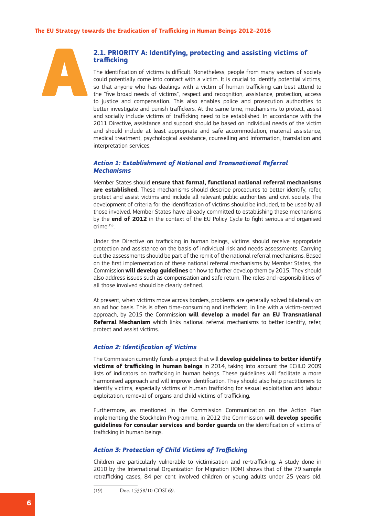

#### **2.1. PRIORITY A: Identifying, protecting and assisting victims of trafficking**

The identification of victims is difficult. Nonetheless, people from many sectors of society could potentially come into contact with a victim. It is crucial to identify potential victims, so that anyone who has dealings with a victim of human trafficking can best attend to the "five broad needs of victims", respect and recognition, assistance, protection, access to justice and compensation. This also enables police and prosecution authorities to better investigate and punish traffickers. At the same time, mechanisms to protect, assist and socially include victims of trafficking need to be established. In accordance with the 2011 Directive, assistance and support should be based on individual needs of the victim and should include at least appropriate and safe accommodation, material assistance, medical treatment, psychological assistance, counselling and information, translation and interpretation services.

#### *Action 1: Establishment of National and Transnational Referral Mechanisms*

Member States should **ensure that formal, functional national referral mechanisms are established.** These mechanisms should describe procedures to better identify, refer, protect and assist victims and include all relevant public authorities and civil society. The development of criteria for the identification of victims should be included, to be used by all those involved. Member States have already committed to establishing these mechanisms by the **end of 2012** in the context of the EU Policy Cycle to fight serious and organised  $r$ crime $^{(19)}$ 

Under the Directive on trafficking in human beings, victims should receive appropriate protection and assistance on the basis of individual risk and needs assessments. Carrying out the assessments should be part of the remit of the national referral mechanisms. Based on the first implementation of these national referral mechanisms by Member States, the Commission **will develop guidelines** on how to further develop them by 2015. They should also address issues such as compensation and safe return. The roles and responsibilities of all those involved should be clearly defined.

At present, when victims move across borders, problems are generally solved bilaterally on an ad hoc basis. This is often time-consuming and inefficient. In line with a victim-centred approach, by 2015 the Commission **will develop a model for an EU Transnational Referral Mechanism** which links national referral mechanisms to better identify, refer, protect and assist victims.

#### *Action 2: Identification of Victims*

The Commission currently funds a project that will **develop guidelines to better identify victims of trafficking in human beings** in 2014, taking into account the EC/ILO 2009 lists of indicators on trafficking in human beings. These guidelines will facilitate a more harmonised approach and will improve identification. They should also help practitioners to identify victims, especially victims of human trafficking for sexual exploitation and labour exploitation, removal of organs and child victims of trafficking.

Furthermore, as mentioned in the Commission Communication on the Action Plan implementing the Stockholm Programme, in 2012 the Commission **will develop specific guidelines for consular services and border guards** on the identification of victims of trafficking in human beings.

#### *Action 3: Protection of Child Victims of Trafficking*

Children are particularly vulnerable to victimisation and re-trafficking. A study done in 2010 by the International Organization for Migration (IOM) shows that of the 79 sample retrafficking cases, 84 per cent involved children or young adults under 25 years old.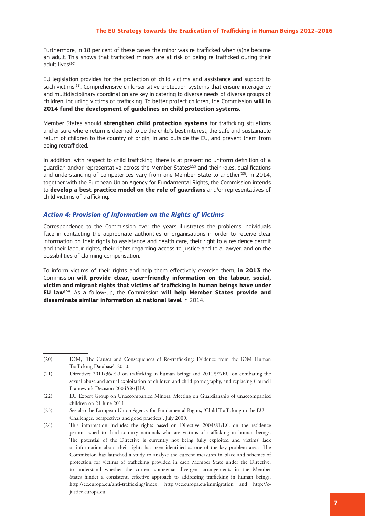Furthermore, in 18 per cent of these cases the minor was re-trafficked when (s)he became an adult. This shows that trafficked minors are at risk of being re-trafficked during their adult lives<sup>(20)</sup>.

EU legislation provides for the protection of child victims and assistance and support to such victims<sup>(21)</sup>. Comprehensive child-sensitive protection systems that ensure interagency and multidisciplinary coordination are key in catering to diverse needs of diverse groups of children, including victims of trafficking. To better protect children, the Commission **will in 2014 fund the development of guidelines on child protection systems.**

Member States should **strengthen child protection systems** for trafficking situations and ensure where return is deemed to be the child's best interest, the safe and sustainable return of children to the country of origin, in and outside the EU, and prevent them from being retrafficked.

In addition, with respect to child trafficking, there is at present no uniform definition of a guardian and/or representative across the Member States<sup>(22)</sup> and their roles, qualifications and understanding of competences vary from one Member State to another $(23)$ . In 2014, together with the European Union Agency for Fundamental Rights, the Commission intends to **develop a best practice model on the role of guardians** and/or representatives of child victims of trafficking.

#### *Action 4: Provision of Information on the Rights of Victims*

Correspondence to the Commission over the years illustrates the problems individuals face in contacting the appropriate authorities or organisations in order to receive clear information on their rights to assistance and health care, their right to a residence permit and their labour rights, their rights regarding access to justice and to a lawyer, and on the possibilities of claiming compensation.

To inform victims of their rights and help them effectively exercise them, **in 2013** the Commission **will provide clear, user-friendly information on the labour, social, victim and migrant rights that victims of trafficking in human beings have under EU law**(24). As a follow-up, the Commission **will help Member States provide and disseminate similar information at national level** in 2014.

<sup>(20)</sup> IOM, 'The Causes and Consequences of Re-trafficking: Evidence from the IOM Human Trafficking Database', 2010.

<sup>(21)</sup> Directives 2011/36/EU on trafficking in human beings and 2011/92/EU on combating the sexual abuse and sexual exploitation of children and child pornography, and replacing Council Framework Decision 2004/68/JHA.

<sup>(22)</sup> EU Expert Group on Unaccompanied Minors, Meeting on Guardianship of unaccompanied children on 21 June 2011.

<sup>(23)</sup> See also the European Union Agency for Fundamental Rights, 'Child Trafficking in the EU — Challenges, perspectives and good practices', July 2009.

<sup>(24)</sup> This information includes the rights based on Directive 2004/81/EC on the residence permit issued to third country nationals who are victims of trafficking in human beings. The potential of the Directive is currently not being fully exploited and victims' lack of information about their rights has been identified as one of the key problem areas. The Commission has launched a study to analyse the current measures in place and schemes of protection for victims of trafficking provided in each Member State under the Directive, to understand whether the current somewhat divergent arrangements in the Member States hinder a consistent, effective approach to addressing trafficking in human beings. http://ec.europa.eu/anti-trafficking/index, http://ec.europa.eu/immigration and http://ejustice.europa.eu.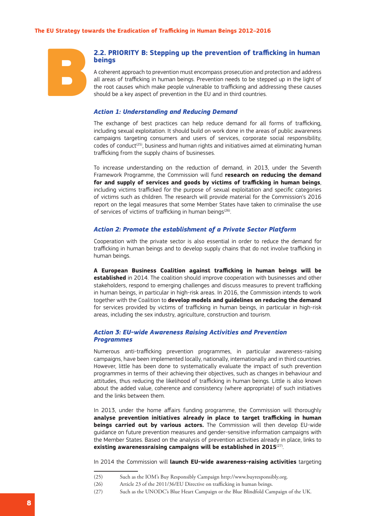

#### **2.2. PRIORITY B: Stepping up the prevention of trafficking in human beings**

A coherent approach to prevention must encompass prosecution and protection and address all areas of trafficking in human beings. Prevention needs to be stepped up in the light of the root causes which make people vulnerable to trafficking and addressing these causes should be a key aspect of prevention in the EU and in third countries.

#### *Action 1: Understanding and Reducing Demand*

The exchange of best practices can help reduce demand for all forms of trafficking, including sexual exploitation. It should build on work done in the areas of public awareness campaigns targeting consumers and users of services, corporate social responsibility,  $code$ s of conduct<sup> $(25)$ </sup>, business and human rights and initiatives aimed at eliminating human trafficking from the supply chains of businesses.

To increase understanding on the reduction of demand, in 2013, under the Seventh Framework Programme, the Commission will fund **research on reducing the demand for and supply of services and goods by victims of trafficking in human beings**, including victims trafficked for the purpose of sexual exploitation and specific categories of victims such as children. The research will provide material for the Commission's 2016 report on the legal measures that some Member States have taken to criminalise the use of services of victims of trafficking in human beings<sup>(26)</sup>.

#### *Action 2: Promote the establishment of a Private Sector Platform*

Cooperation with the private sector is also essential in order to reduce the demand for trafficking in human beings and to develop supply chains that do not involve trafficking in human beings.

**A European Business Coalition against trafficking in human beings will be established** in 2014. The coalition should improve cooperation with businesses and other stakeholders, respond to emerging challenges and discuss measures to prevent trafficking in human beings, in particular in high-risk areas. In 2016, the Commission intends to work together with the Coalition to **develop models and guidelines on reducing the demand** for services provided by victims of trafficking in human beings, in particular in high-risk areas, including the sex industry, agriculture, construction and tourism.

#### *Action 3: EU-wide Awareness Raising Activities and Prevention Programmes*

Numerous anti-trafficking prevention programmes, in particular awareness-raising campaigns, have been implemented locally, nationally, internationally and in third countries. However, little has been done to systematically evaluate the impact of such prevention programmes in terms of their achieving their objectives, such as changes in behaviour and attitudes, thus reducing the likelihood of trafficking in human beings. Little is also known about the added value, coherence and consistency (where appropriate) of such initiatives and the links between them.

In 2013, under the home affairs funding programme, the Commission will thoroughly **analyse prevention initiatives already in place to target trafficking in human beings carried out by various actors.** The Commission will then develop EU-wide guidance on future prevention measures and gender-sensitive information campaigns with the Member States. Based on the analysis of prevention activities already in place, links to existing awarenessraising campaigns will be established in 2015<sup>(27)</sup>.

In 2014 the Commission will **launch EU-wide awareness-raising activities** targeting

<sup>(25)</sup> Such as the IOM's Buy Responsibly Campaign http://www.buyresponsibly.org.

<sup>(26)</sup> Article 23 of the 2011/36/EU Directive on trafficking in human beings.

<sup>(27)</sup> Such as the UNODC's Blue Heart Campaign or the Blue Blindfold Campaign of the UK.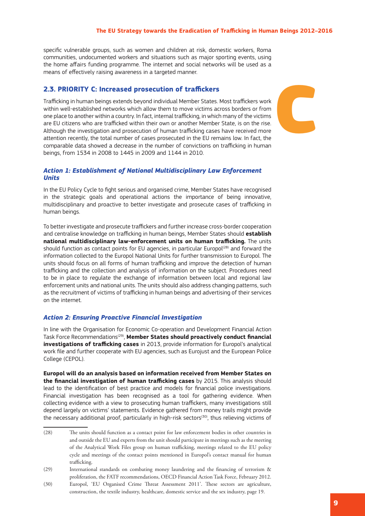specific vulnerable groups, such as women and children at risk, domestic workers, Roma communities, undocumented workers and situations such as major sporting events, using the home affairs funding programme. The internet and social networks will be used as a means of effectively raising awareness in a targeted manner.

#### **2.3. PRIORITY C: Increased prosecution of traffickers**

Trafficking in human beings extends beyond individual Member States. Most traffickers work within well-established networks which allow them to move victims across borders or from one place to another within a country. In fact, internal trafficking, in which many of the victims are EU citizens who are trafficked within their own or another Member State, is on the rise. Although the investigation and prosecution of human trafficking cases have received more attention recently, the total number of cases prosecuted in the EU remains low. In fact, the comparable data showed a decrease in the number of convictions on trafficking in human beings, from 1534 in 2008 to 1445 in 2009 and 1144 in 2010.



#### *Action 1: Establishment of National Multidisciplinary Law Enforcement Units*

In the EU Policy Cycle to fight serious and organised crime, Member States have recognised in the strategic goals and operational actions the importance of being innovative, multidisciplinary and proactive to better investigate and prosecute cases of trafficking in human beings.

To better investigate and prosecute traffickers and further increase cross-border cooperation and centralise knowledge on trafficking in human beings, Member States should **establish national multidisciplinary law-enforcement units on human trafficking.** The units should function as contact points for EU agencies, in particular Europol<sup>(28)</sup> and forward the information collected to the Europol National Units for further transmission to Europol. The units should focus on all forms of human trafficking and improve the detection of human trafficking and the collection and analysis of information on the subject. Procedures need to be in place to regulate the exchange of information between local and regional law enforcement units and national units. The units should also address changing patterns, such as the recruitment of victims of trafficking in human beings and advertising of their services on the internet.

#### *Action 2: Ensuring Proactive Financial Investigation*

In line with the Organisation for Economic Co-operation and Development Financial Action Task Force Recommendations(29), **Member States should proactively conduct financial investigations of trafficking cases** in 2013, provide information for Europol's analytical work file and further cooperate with EU agencies, such as Eurojust and the European Police College (CEPOL).

**Europol will do an analysis based on information received from Member States on the financial investigation of human trafficking cases** by 2015. This analysis should lead to the identification of best practice and models for financial police investigations. Financial investigation has been recognised as a tool for gathering evidence. When collecting evidence with a view to prosecuting human traffickers, many investigations still depend largely on victims' statements. Evidence gathered from money trails might provide the necessary additional proof, particularly in high-risk sectors $(30)$ , thus relieving victims of

<sup>(28)</sup> The units should function as a contact point for law enforcement bodies in other countries in and outside the EU and experts from the unit should participate in meetings such as the meeting of the Analytical Work Files group on human trafficking, meetings related to the EU policy cycle and meetings of the contact points mentioned in Europol's contact manual for human trafficking.

<sup>(29)</sup> International standards on combating money laundering and the financing of terrorism & proliferation, the FATF recommendations, OECD Financial Action Task Force, February 2012.

<sup>(30)</sup> Europol, 'EU Organised Crime Threat Assessment 2011'. These sectors are agriculture, construction, the textile industry, healthcare, domestic service and the sex industry, page 19.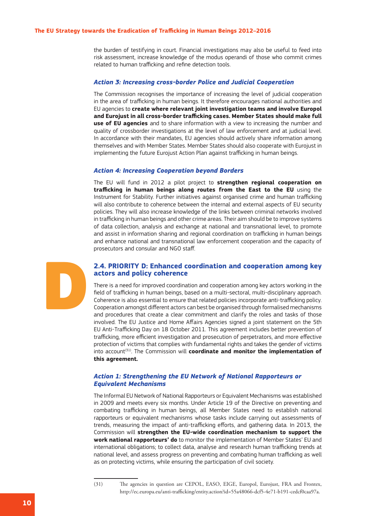the burden of testifying in court. Financial investigations may also be useful to feed into risk assessment, increase knowledge of the modus operandi of those who commit crimes related to human trafficking and refine detection tools.

#### *Action 3: Increasing cross-border Police and Judicial Cooperation*

The Commission recognises the importance of increasing the level of judicial cooperation in the area of trafficking in human beings. It therefore encourages national authorities and EU agencies to **create where relevant joint investigation teams and involve Europol and Eurojust in all cross-border trafficking cases. Member States should make full use of EU agencies** and to share information with a view to increasing the number and quality of crossborder investigations at the level of law enforcement and at judicial level. In accordance with their mandates, EU agencies should actively share information among themselves and with Member States. Member States should also cooperate with Eurojust in implementing the future Eurojust Action Plan against trafficking in human beings.

#### *Action 4: Increasing Cooperation beyond Borders*

The EU will fund in 2012 a pilot project to **strengthen regional cooperation on trafficking in human beings along routes from the East to the EU** using the Instrument for Stability. Further initiatives against organised crime and human trafficking will also contribute to coherence between the internal and external aspects of EU security policies. They will also increase knowledge of the links between criminal networks involved in trafficking in human beings and other crime areas. Their aim should be to improve systems of data collection, analysis and exchange at national and transnational level, to promote and assist in information sharing and regional coordination on trafficking in human beings and enhance national and transnational law enforcement cooperation and the capacity of prosecutors and consular and NGO staff.

#### **2.4. PRIORITY D: Enhanced coordination and cooperation among key actors and policy coherence**

There is a need for improved coordination and cooperation among key actors working in the field of trafficking in human beings, based on a multi-sectoral, multi-disciplinary approach. Coherence is also essential to ensure that related policies incorporate anti-trafficking policy. Cooperation amongst different actors can best be organised through formalised mechanisms and procedures that create a clear commitment and clarify the roles and tasks of those involved. The EU Justice and Home Affairs Agencies signed a joint statement on the 5th EU Anti-Trafficking Day on 18 October 2011. This agreement includes better prevention of trafficking, more efficient investigation and prosecution of perpetrators, and more effective protection of victims that complies with fundamental rights and takes the gender of victims into account<sup>(31)</sup>. The Commission will **coordinate and monitor the implementation of this agreement.**

#### *Action 1: Strengthening the EU Network of National Rapporteurs or Equivalent Mechanisms*

The Informal EU Network of National Rapporteurs or Equivalent Mechanisms was established in 2009 and meets every six months. Under Article 19 of the Directive on preventing and combating trafficking in human beings, all Member States need to establish national rapporteurs or equivalent mechanisms whose tasks include carrying out assessments of trends, measuring the impact of anti-trafficking efforts, and gathering data. In 2013, the Commission will **strengthen the EU-wide coordination mechanism to support the work national rapporteurs' do** to monitor the implementation of Member States' EU and international obligations; to collect data, analyse and research human trafficking trends at national level, and assess progress on preventing and combating human trafficking as well as on protecting victims, while ensuring the participation of civil society.

D

<sup>(31)</sup> The agencies in question are CEPOL, EASO, EIGE, Europol, Eurojust, FRA and Frontex, http://ec.europa.eu/anti-trafficking/entity.action?id=55a48066-dcf5-4e71-b191-cedcf0caa97a.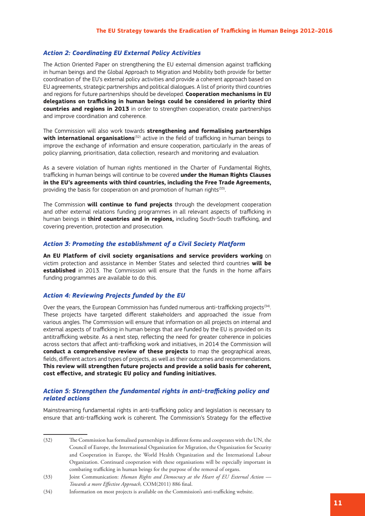#### *Action 2: Coordinating EU External Policy Activities*

The Action Oriented Paper on strengthening the EU external dimension against trafficking in human beings and the Global Approach to Migration and Mobility both provide for better coordination of the EU's external policy activities and provide a coherent approach based on EU agreements, strategic partnerships and political dialogues. A list of priority third countries and regions for future partnerships should be developed. **Cooperation mechanisms in EU delegations on trafficking in human beings could be considered in priority third countries and regions in 2013** in order to strengthen cooperation, create partnerships and improve coordination and coherence.

The Commission will also work towards **strengthening and formalising partnerships with international organisations**<sup>(32)</sup> active in the field of trafficking in human beings to improve the exchange of information and ensure cooperation, particularly in the areas of policy planning, prioritisation, data collection, research and monitoring and evaluation.

As a severe violation of human rights mentioned in the Charter of Fundamental Rights, trafficking in human beings will continue to be covered **under the Human Rights Clauses in the EU's agreements with third countries, including the Free Trade Agreements,** providing the basis for cooperation on and promotion of human rights<sup>(33)</sup>.

The Commission **will continue to fund projects** through the development cooperation and other external relations funding programmes in all relevant aspects of trafficking in human beings in **third countries and in regions,** including South-South trafficking, and covering prevention, protection and prosecution.

#### *Action 3: Promoting the establishment of a Civil Society Platform*

**An EU Platform of civil society organisations and service providers working** on victim protection and assistance in Member States and selected third countries **will be established** in 2013. The Commission will ensure that the funds in the home affairs funding programmes are available to do this.

#### *Action 4: Reviewing Projects funded by the EU*

Over the years, the European Commission has funded numerous anti-trafficking projects<sup>(34)</sup>. These projects have targeted different stakeholders and approached the issue from various angles. The Commission will ensure that information on all projects on internal and external aspects of trafficking in human beings that are funded by the EU is provided on its antitrafficking website. As a next step, reflecting the need for greater coherence in policies across sectors that affect anti-trafficking work and initiatives, in 2014 the Commission will **conduct a comprehensive review of these projects** to map the geographical areas, fields, different actors and types of projects, as well as their outcomes and recommendations. **This review will strengthen future projects and provide a solid basis for coherent, cost effective, and strategic EU policy and funding initiatives.**

#### *Action 5: Strengthen the fundamental rights in anti-trafficking policy and related actions*

Mainstreaming fundamental rights in anti-trafficking policy and legislation is necessary to ensure that anti-trafficking work is coherent. The Commission's Strategy for the effective

<sup>(32)</sup> The Commission has formalised partnerships in different forms and cooperates with the UN, the Council of Europe, the International Organization for Migration, the Organization for Security and Cooperation in Europe, the World Health Organization and the International Labour Organization. Continued cooperation with these organisations will be especially important in combating trafficking in human beings for the purpose of the removal of organs.

<sup>(33)</sup> Joint Communication: *Human Rights and Democracy at the Heart of EU External Action — Towards a more Effective Approach,* COM(2011) 886 final.

<sup>(34)</sup> Information on most projects is available on the Commission's anti-trafficking website.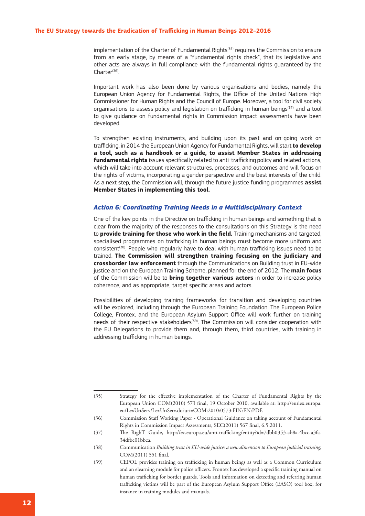implementation of the Charter of Fundamental Rights<sup>(35)</sup> requires the Commission to ensure from an early stage, by means of a "fundamental rights check", that its legislative and other acts are always in full compliance with the fundamental rights guaranteed by the Charter<sup>(36)</sup>.

Important work has also been done by various organisations and bodies, namely the European Union Agency for Fundamental Rights, the Office of the United Nations High Commissioner for Human Rights and the Council of Europe. Moreover, a tool for civil society organisations to assess policy and legislation on trafficking in human beings<sup>(37)</sup> and a tool to give guidance on fundamental rights in Commission impact assessments have been developed.

To strengthen existing instruments, and building upon its past and on-going work on trafficking, in 2014 the European Union Agency for Fundamental Rights, will start **to develop a tool, such as a handbook or a guide, to assist Member States in addressing fundamental rights** issues specifically related to anti-trafficking policy and related actions, which will take into account relevant structures, processes, and outcomes and will focus on the rights of victims, incorporating a gender perspective and the best interests of the child. As a next step, the Commission will, through the future justice funding programmes **assist Member States in implementing this tool.**

#### *Action 6: Coordinating Training Needs in a Multidisciplinary Context*

One of the key points in the Directive on trafficking in human beings and something that is clear from the majority of the responses to the consultations on this Strategy is the need to **provide training for those who work in the field.** Training mechanisms and targeted, specialised programmes on trafficking in human beings must become more uniform and consistent<sup>(38)</sup>. People who regularly have to deal with human trafficking issues need to be trained. **The Commission will strengthen training focusing on the judiciary and crossborder law enforcement** through the Communications on Building trust in EU-wide justice and on the European Training Scheme, planned for the end of 2012. The **main focus** of the Commission will be to **bring together various actors** in order to increase policy coherence, and as appropriate, target specific areas and actors.

Possibilities of developing training frameworks for transition and developing countries will be explored, including through the European Training Foundation. The European Police College, Frontex, and the European Asylum Support Office will work further on training needs of their respective stakeholders<sup>(39)</sup>. The Commission will consider cooperation with the EU Delegations to provide them and, through them, third countries, with training in addressing trafficking in human beings.

<sup>(35)</sup> Strategy for the effective implementation of the Charter of Fundamental Rights by the European Union COM(2010) 573 final, 19 October 2010, available at: http://eurlex.europa. eu/LexUriServ/LexUriServ.do?uri=COM:2010:0573:FIN:EN:PDF.

<sup>(36)</sup> Commission Staff Working Paper - Operational Guidance on taking account of Fundamental Rights in Commission Impact Assessments, SEC(2011) 567 final, 6.5.2011.

<sup>(37)</sup> The RighT Guide, http://ec.europa.eu/anti-trafficking/entity?id=7dbb0353-cb8a-4bcc-a3fa-34dfbe01bbca.

<sup>(38)</sup> Communication *Building trust in EU-wide justice: a new dimension to European judicial training,*  COM(2011) 551 final.

<sup>(39)</sup> CEPOL provides training on trafficking in human beings as well as a Common Curriculum and an elearning module for police officers. Frontex has developed a specific training manual on human trafficking for border guards. Tools and information on detecting and referring human trafficking victims will be part of the European Asylum Support Office (EASO) tool box, for instance in training modules and manuals.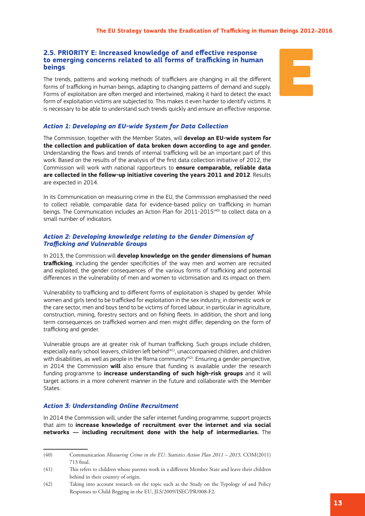#### **2.5. PRIORITY E: Increased knowledge of and effective response to emerging concerns related to all forms of trafficking in human beings**

The trends, patterns and working methods of traffickers are changing in all the different forms of trafficking in human beings, adapting to changing patterns of demand and supply. Forms of exploitation are often merged and intertwined, making it hard to detect the exact form of exploitation victims are subjected to. This makes it even harder to identify victims. It is necessary to be able to understand such trends quickly and ensure an effective response.



#### *Action 1: Developing an EU-wide System for Data Collection*

The Commission, together with the Member States, will **develop an EU-wide system for the collection and publication of data broken down according to age and gender.** Understanding the flows and trends of internal trafficking will be an important part of this work. Based on the results of the analysis of the first data collection initiative of 2012, the Commission will work with national rapporteurs to **ensure comparable, reliable data are collected in the follow-up initiative covering the years 2011 and 2012**. Results are expected in 2014.

In its Communication on measuring crime in the EU, the Commission emphasised the need to collect reliable, comparable data for evidence-based policy on trafficking in human beings. The Communication includes an Action Plan for  $2011$ - $2015<sup>(40)</sup>$  to collect data on a small number of indicators.

#### *Action 2: Developing knowledge relating to the Gender Dimension of Trafficking and Vulnerable Groups*

In 2013, the Commission will **develop knowledge on the gender dimensions of human trafficking**, including the gender specificities of the way men and women are recruited and exploited, the gender consequences of the various forms of trafficking and potential differences in the vulnerability of men and women to victimisation and its impact on them.

Vulnerability to trafficking and to different forms of exploitation is shaped by gender. While women and girls tend to be trafficked for exploitation in the sex industry, in domestic work or the care sector, men and boys tend to be victims of forced labour, in particular in agriculture, construction, mining, forestry sectors and on fishing fleets. In addition, the short and long term consequences on trafficked women and men might differ, depending on the form of trafficking and gender.

Vulnerable groups are at greater risk of human trafficking. Such groups include children, especially early school leavers, children left behind<sup>(41)</sup>, unaccompanied children, and children with disabilities, as well as people in the Roma community $(42)$ . Ensuring a gender perspective, in 2014 the Commission **will** also ensure that funding is available under the research funding programme to **increase understanding of such high-risk groups** and it will target actions in a more coherent manner in the future and collaborate with the Member States.

#### *Action 3: Understanding Online Recruitment*

In 2014 the Commission will, under the safer internet funding programme, support projects that aim to **increase knowledge of recruitment over the internet and via social networks — including recruitment done with the help of intermediaries.** The

<sup>(40)</sup> Communication *Measuring Crime in the EU: Statistics Action Plan 2011 – 2015,* COM(2011) 713 final.

<sup>(41)</sup> This refers to children whose parents work in a different Member State and leave their children behind in their country of origin.

<sup>(42)</sup> Taking into account research on the topic such as the Study on the Typology of and Policy Responses to Child Begging in the EU, JLS/2009/ISEC/PR/008-F2.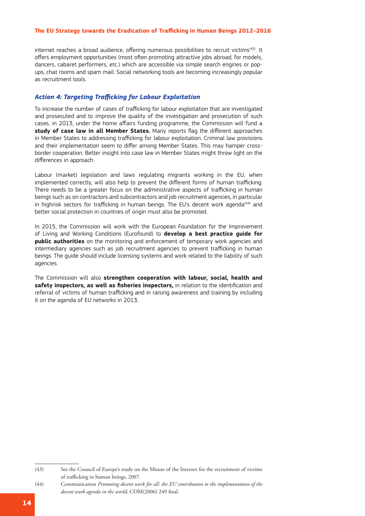internet reaches a broad audience, offering numerous possibilities to recruit victims<sup>(43)</sup>. It offers employment opportunities (most often promoting attractive jobs abroad, for models, dancers, cabaret performers, etc.) which are accessible via simple search engines or popups, chat rooms and spam mail. Social networking tools are becoming increasingly popular as recruitment tools.

#### *Action 4: Targeting Trafficking for Labour Exploitation*

To increase the number of cases of trafficking for labour exploitation that are investigated and prosecuted and to improve the quality of the investigation and prosecution of such cases, in 2013, under the home affairs funding programme, the Commission will fund a **study of case law in all Member States.** Many reports flag the different approaches in Member States to addressing trafficking for labour exploitation. Criminal law provisions and their implementation seem to differ among Member States. This may hamper crossborder cooperation. Better insight into case law in Member States might throw light on the differences in approach.

Labour (market) legislation and laws regulating migrants working in the EU, when implemented correctly, will also help to prevent the different forms of human trafficking. There needs to be a greater focus on the administrative aspects of trafficking in human beings such as on contractors and subcontractors and job recruitment agencies, in particular in highrisk sectors for trafficking in human beings. The EU's decent work agenda<sup>(44)</sup> and better social protection in countries of origin must also be promoted.

In 2015, the Commission will work with the European Foundation for the Improvement of Living and Working Conditions (Eurofound) to **develop a best practice guide for public authorities** on the monitoring and enforcement of temporary work agencies and intermediary agencies such as job recruitment agencies to prevent trafficking in human beings. The guide should include licensing systems and work related to the liability of such agencies.

The Commission will also **strengthen cooperation with labour, social, health and safety inspectors, as well as fisheries inspectors,** in relation to the identification and referral of victims of human trafficking and in raising awareness and training by including it on the agenda of EU networks in 2013.

<sup>(43)</sup> See the Council of Europe's study on the Misuse of the Internet for the recruitment of victims of trafficking in human beings, 2007.

<sup>(44)</sup> Communication *Promoting decent work for all: the EU contribution to the implementation of the decent work agenda in the world,* COM(2006) 249 final.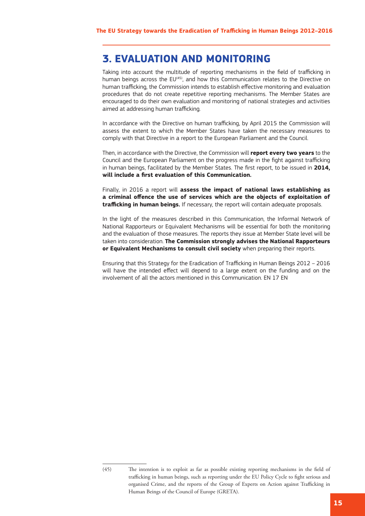## **3. EVALUATION AND MONITORING**

Taking into account the multitude of reporting mechanisms in the field of trafficking in human beings across the EU<sup>(45)</sup>, and how this Communication relates to the Directive on human trafficking, the Commission intends to establish effective monitoring and evaluation procedures that do not create repetitive reporting mechanisms. The Member States are encouraged to do their own evaluation and monitoring of national strategies and activities aimed at addressing human trafficking.

In accordance with the Directive on human trafficking, by April 2015 the Commission will assess the extent to which the Member States have taken the necessary measures to comply with that Directive in a report to the European Parliament and the Council.

Then, in accordance with the Directive, the Commission will **report every two years** to the Council and the European Parliament on the progress made in the fight against trafficking in human beings, facilitated by the Member States. The first report, to be issued in **2014, will include a first evaluation of this Communication.**

Finally, in 2016 a report will **assess the impact of national laws establishing as a criminal offence the use of services which are the objects of exploitation of trafficking in human beings.** If necessary, the report will contain adequate proposals.

In the light of the measures described in this Communication, the Informal Network of National Rapporteurs or Equivalent Mechanisms will be essential for both the monitoring and the evaluation of those measures. The reports they issue at Member State level will be taken into consideration. **The Commission strongly advises the National Rapporteurs or Equivalent Mechanisms to consult civil society** when preparing their reports.

Ensuring that this Strategy for the Eradication of Trafficking in Human Beings 2012 – 2016 will have the intended effect will depend to a large extent on the funding and on the involvement of all the actors mentioned in this Communication. EN 17 EN

<sup>(45)</sup> The intention is to exploit as far as possible existing reporting mechanisms in the field of trafficking in human beings, such as reporting under the EU Policy Cycle to fight serious and organised Crime, and the reports of the Group of Experts on Action against Trafficking in Human Beings of the Council of Europe (GRETA).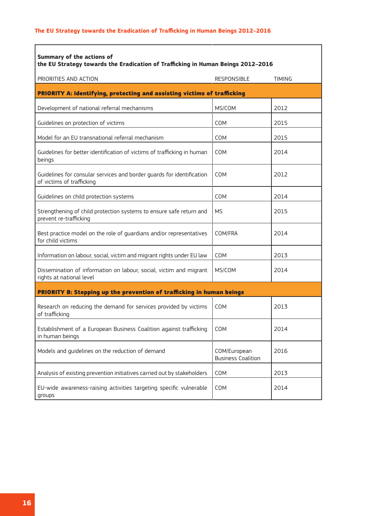| <b>Summary of the actions of</b><br>the EU Strategy towards the Eradication of Trafficking in Human Beings 2012-2016 |                                           |               |  |  |
|----------------------------------------------------------------------------------------------------------------------|-------------------------------------------|---------------|--|--|
| PRIORITIES AND ACTION                                                                                                | <b>RESPONSIBLE</b>                        | <b>TIMING</b> |  |  |
| PRIORITY A: Identifying, protecting and assisting victims of trafficking                                             |                                           |               |  |  |
| Development of national referral mechanisms                                                                          | MS/COM                                    | 2012          |  |  |
| Guidelines on protection of victims                                                                                  | <b>COM</b>                                | 2015          |  |  |
| Model for an EU transnational referral mechanism                                                                     | <b>COM</b>                                | 2015          |  |  |
| Guidelines for better identification of victims of trafficking in human<br>beings                                    | <b>COM</b>                                | 2014          |  |  |
| Guidelines for consular services and border guards for identification<br>of victims of trafficking                   | <b>COM</b>                                | 2012          |  |  |
| Guidelines on child protection systems                                                                               | <b>COM</b>                                | 2014          |  |  |
| Strengthening of child protection systems to ensure safe return and<br>prevent re-trafficking                        | MS.                                       | 2015          |  |  |
| Best practice model on the role of guardians and/or representatives<br>for child victims                             | COM/FRA                                   | 2014          |  |  |
| Information on labour, social, victim and migrant rights under EU law                                                | COM                                       | 2013          |  |  |
| Dissemination of information on labour, social, victim and migrant<br>rights at national level                       | MS/COM                                    | 2014          |  |  |
| PRIORITY B: Stepping up the prevention of trafficking in human beings                                                |                                           |               |  |  |
| Research on reducing the demand for services provided by victims<br>of trafficking                                   | <b>COM</b>                                | 2013          |  |  |
| Establishment of a European Business Coalition against trafficking<br>in human beings                                | <b>COM</b>                                | 2014          |  |  |
| Models and guidelines on the reduction of demand                                                                     | COM/European<br><b>Business Coalition</b> | 2016          |  |  |
| Analysis of existing prevention initiatives carried out by stakeholders                                              | COM                                       | 2013          |  |  |
| EU-wide awareness-raising activities targeting specific vulnerable<br>groups                                         | COM                                       | 2014          |  |  |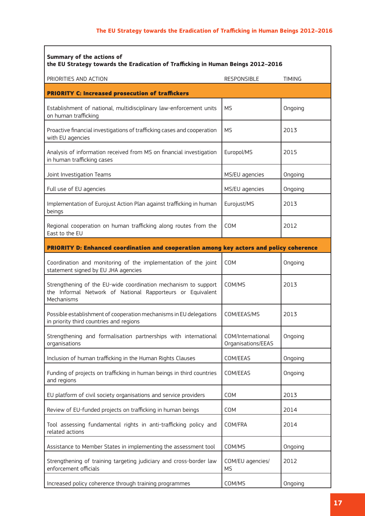| <b>Summary of the actions of</b><br>the EU Strategy towards the Eradication of Trafficking in Human Beings 2012-2016                       |                                         |               |  |  |
|--------------------------------------------------------------------------------------------------------------------------------------------|-----------------------------------------|---------------|--|--|
| PRIORITIES AND ACTION                                                                                                                      | <b>RESPONSIBLE</b>                      | <b>TIMING</b> |  |  |
| <b>PRIORITY C: Increased prosecution of traffickers</b>                                                                                    |                                         |               |  |  |
| Establishment of national, multidisciplinary law-enforcement units<br>on human trafficking                                                 | <b>MS</b>                               | Ongoing       |  |  |
| Proactive financial investigations of trafficking cases and cooperation<br>with EU agencies                                                | <b>MS</b>                               | 2013          |  |  |
| Analysis of information received from MS on financial investigation<br>in human trafficking cases                                          | Europol/MS                              | 2015          |  |  |
| Joint Investigation Teams                                                                                                                  | MS/EU agencies                          | Ongoing       |  |  |
| Full use of EU agencies                                                                                                                    | MS/EU agencies                          | Ongoing       |  |  |
| Implementation of Eurojust Action Plan against trafficking in human<br>beings                                                              | Eurojust/MS                             | 2013          |  |  |
| Regional cooperation on human trafficking along routes from the<br>East to the EU                                                          | <b>COM</b>                              | 2012          |  |  |
| PRIORITY D: Enhanced coordination and cooperation among key actors and policy coherence                                                    |                                         |               |  |  |
| Coordination and monitoring of the implementation of the joint<br>statement signed by EU JHA agencies                                      | <b>COM</b>                              | Ongoing       |  |  |
| Strengthening of the EU-wide coordination mechanism to support<br>the Informal Network of National Rapporteurs or Equivalent<br>Mechanisms | COM/MS                                  | 2013          |  |  |
| Possible establishment of cooperation mechanisms in EU delegations<br>in priority third countries and regions                              | COM/EEAS/MS                             | 2013          |  |  |
| Strengthening and formalisation partnerships with international<br>organisations                                                           | COM/International<br>Organisations/EEAS | Ongoing       |  |  |
| Inclusion of human trafficking in the Human Rights Clauses                                                                                 | COM/EEAS                                | Ongoing       |  |  |
| Funding of projects on trafficking in human beings in third countries<br>and regions                                                       | COM/EEAS                                | Ongoing       |  |  |
| EU platform of civil society organisations and service providers                                                                           | COM                                     | 2013          |  |  |
| Review of EU-funded projects on trafficking in human beings                                                                                | COM                                     | 2014          |  |  |
| Tool assessing fundamental rights in anti-trafficking policy and<br>related actions                                                        | COM/FRA                                 | 2014          |  |  |
| Assistance to Member States in implementing the assessment tool                                                                            | COM/MS                                  | Ongoing       |  |  |
| Strengthening of training targeting judiciary and cross-border law<br>enforcement officials                                                | COM/EU agencies/<br><b>MS</b>           | 2012          |  |  |
| Increased policy coherence through training programmes                                                                                     | COM/MS                                  | Ongoing       |  |  |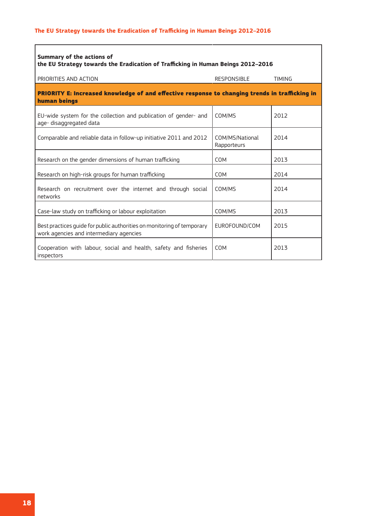| <b>Summary of the actions of</b><br>the EU Strategy towards the Eradication of Trafficking in Human Beings 2012-2016 |                                |               |  |  |
|----------------------------------------------------------------------------------------------------------------------|--------------------------------|---------------|--|--|
| PRIORITIES AND ACTION                                                                                                | RESPONSIBLE                    | <b>TIMING</b> |  |  |
| PRIORITY E: Increased knowledge of and effective response to changing trends in trafficking in<br>human beings       |                                |               |  |  |
| EU-wide system for the collection and publication of gender- and<br>age-disaggregated data                           | COM/MS                         | 2012          |  |  |
| Comparable and reliable data in follow-up initiative 2011 and 2012                                                   | COM/MS/National<br>Rapporteurs | 2014          |  |  |
| Research on the gender dimensions of human trafficking                                                               | <b>COM</b>                     | 2013          |  |  |
| Research on high-risk groups for human trafficking                                                                   | <b>COM</b>                     | 2014          |  |  |
| Research on recruitment over the internet and through social<br>networks                                             | COM/MS                         | 2014          |  |  |
| Case-law study on trafficking or labour exploitation                                                                 | COM/MS                         | 2013          |  |  |
| Best practices quide for public authorities on monitoring of temporary<br>work agencies and intermediary agencies    | EUROFOUND/COM                  | 2015          |  |  |
| Cooperation with labour, social and health, safety and fisheries<br>inspectors                                       | <b>COM</b>                     | 2013          |  |  |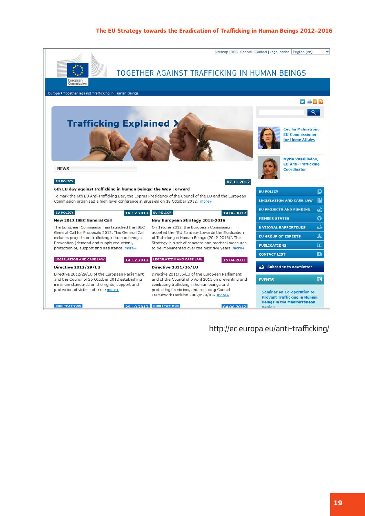

http://ec.europa.eu/anti-trafficking/